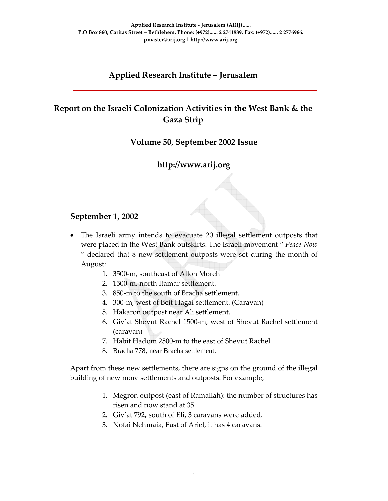# **Applied Research Institute – Jerusalem**

# **Report on the Israeli Colonization Activities in the West Bank & the Gaza Strip**

#### **Volume 50, September 2002 Issue**

### **http://www.arij.org**

#### **September 1, 2002**

- The Israeli army intends to evacuate 20 illegal settlement outposts that were placed in the West Bank outskirts. The Israeli movement " *Peace‐Now* " declared that 8 new settlement outposts were set during the month of August:
	- 1. 3500‐m, southeast of Allon Moreh
	- 2. 1500‐m, north Itamar settlement.
	- 3. 850‐m to the south of Bracha settlement.
	- 4. 300‐m, west of Beit Hagai settlement. (Caravan)
	- 5. Hakaron outpost near Ali settlement.
	- 6. Giv'at Shevut Rachel 1500‐m, west of Shevut Rachel settlement (caravan)
	- 7. Habit Hadom 2500‐m to the east of Shevut Rachel
	- 8. Bracha 778, near Bracha settlement.

Apart from these new settlements, there are signs on the ground of the illegal building of new more settlements and outposts. For example,

- 1. Megron outpost (east of Ramallah): the number of structures has risen and now stand at 35
- 2. Giv'at 792, south of Eli, 3 caravans were added.
- 3. Nofai Nehmaia, East of Ariel, it has 4 caravans.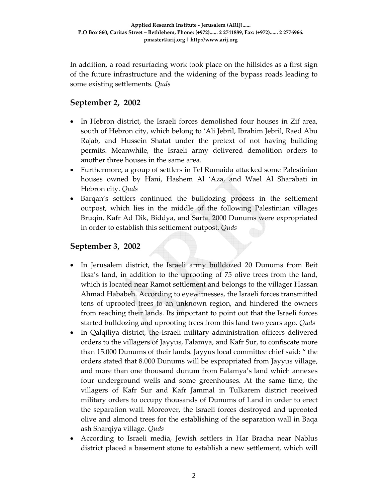In addition, a road resurfacing work took place on the hillsides as a first sign of the future infrastructure and the widening of the bypass roads leading to some existing settlements. *Quds*

## **September 2, 2002**

- In Hebron district, the Israeli forces demolished four houses in Zif area, south of Hebron city, which belong to 'Ali Jebril, Ibrahim Jebril, Raed Abu Rajab, and Hussein Shatat under the pretext of not having building permits. Meanwhile, the Israeli army delivered demolition orders to another three houses in the same area.
- Furthermore, a group of settlers in Tel Rumaida attacked some Palestinian houses owned by Hani, Hashem Al 'Aza, and Wael Al Sharabati in Hebron city. *Quds*
- Barqan's settlers continued the bulldozing process in the settlement outpost, which lies in the middle of the following Palestinian villages Bruqin, Kafr Ad Dik, Biddya, and Sarta. 2000 Dunums were expropriated in order to establish this settlement outpost. *Quds*

### **September 3, 2002**

- In Jerusalem district, the Israeli army bulldozed 20 Dunums from Beit Iksa's land, in addition to the uprooting of 75 olive trees from the land, which is located near Ramot settlement and belongs to the villager Hassan Ahmad Hababeh. According to eyewitnesses, the Israeli forces transmitted tens of uprooted trees to an unknown region, and hindered the owners from reaching their lands. Its important to point out that the Israeli forces started bulldozing and uprooting trees from this land two years ago. *Quds*
- In Qalqiliya district, the Israeli military administration officers delivered orders to the villagers of Jayyus, Falamya, and Kafr Sur, to confiscate more than 15.000 Dunums of their lands. Jayyus local committee chief said: " the orders stated that 8.000 Dunums will be expropriated from Jayyus village, and more than one thousand dunum from Falamya's land which annexes four underground wells and some greenhouses. At the same time, the villagers of Kafr Sur and Kafr Jammal in Tulkarem district received military orders to occupy thousands of Dunums of Land in order to erect the separation wall. Moreover, the Israeli forces destroyed and uprooted olive and almond trees for the establishing of the separation wall in Baqa ash Sharqiya village. *Quds*
- According to Israeli media, Jewish settlers in Har Bracha near Nablus district placed a basement stone to establish a new settlement, which will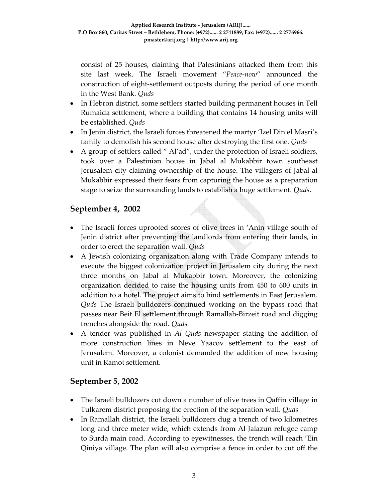consist of 25 houses, claiming that Palestinians attacked them from this site last week. The Israeli movement "*Peace‐now*" announced the construction of eight‐settlement outposts during the period of one month in the West Bank. *Quds*

- In Hebron district, some settlers started building permanent houses in Tell Rumaida settlement, where a building that contains 14 housing units will be established. *Quds*
- In Jenin district, the Israeli forces threatened the martyr 'Izel Din el Masri's family to demolish his second house after destroying the first one*. Quds*
- A group of settlers called " Al'ad", under the protection of Israeli soldiers, took over a Palestinian house in Jabal al Mukabbir town southeast Jerusalem city claiming ownership of the house. The villagers of Jabal al Mukabbir expressed their fears from capturing the house as a preparation stage to seize the surrounding lands to establish a huge settlement. *Quds*.

## **September 4, 2002**

- The Israeli forces uprooted scores of olive trees in 'Anin village south of Jenin district after preventing the landlords from entering their lands, in order to erect the separation wall. *Quds*
- A Jewish colonizing organization along with Trade Company intends to execute the biggest colonization project in Jerusalem city during the next three months on Jabal al Mukabbir town. Moreover, the colonizing organization decided to raise the housing units from 450 to 600 units in addition to a hotel. The project aims to bind settlements in East Jerusalem. *Quds* The Israeli bulldozers continued working on the bypass road that passes near Beit El settlement through Ramallah‐Birzeit road and digging trenches alongside the road. *Quds*
- A tender was published in *Al Quds* newspaper stating the addition of more construction lines in Neve Yaacov settlement to the east of Jerusalem. Moreover, a colonist demanded the addition of new housing unit in Ramot settlement.

### **September 5, 2002**

- The Israeli bulldozers cut down a number of olive trees in Qaffin village in Tulkarem district proposing the erection of the separation wall. *Quds*
- In Ramallah district, the Israeli bulldozers dug a trench of two kilometres long and three meter wide, which extends from Al Jalazun refugee camp to Surda main road. According to eyewitnesses, the trench will reach 'Ein Qiniya village. The plan will also comprise a fence in order to cut off the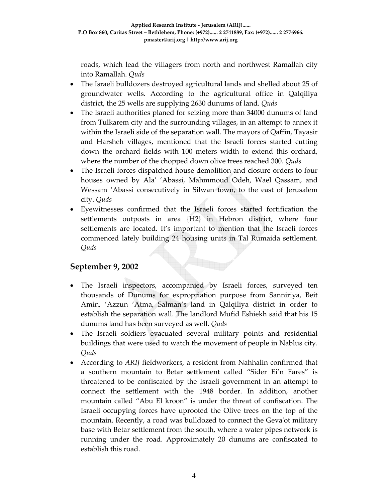roads, which lead the villagers from north and northwest Ramallah city into Ramallah. *Quds*

- The Israeli bulldozers destroyed agricultural lands and shelled about 25 of groundwater wells. According to the agricultural office in Qalqiliya district, the 25 wells are supplying 2630 dunums of land. *Quds*
- The Israeli authorities planed for seizing more than 34000 dunums of land from Tulkarem city and the surrounding villages, in an attempt to annex it within the Israeli side of the separation wall. The mayors of Qaffin, Tayasir and Harsheh villages, mentioned that the Israeli forces started cutting down the orchard fields with 100 meters width to extend this orchard, where the number of the chopped down olive trees reached 300. *Quds*
- The Israeli forces dispatched house demolition and closure orders to four houses owned by Ala' 'Abassi, Mahmmoud Odeh, Wael Qassam, and Wessam 'Abassi consecutively in Silwan town, to the east of Jerusalem city. *Quds*
- Eyewitnesses confirmed that the Israeli forces started fortification the settlements outposts in area {H2} in Hebron district, where four settlements are located. It's important to mention that the Israeli forces commenced lately building 24 housing units in Tal Rumaida settlement. *Quds*

### **September 9, 2002**

- The Israeli inspectors, accompanied by Israeli forces, surveyed ten thousands of Dunums for expropriation purpose from Sanniriya, Beit Amin, 'Azzun 'Atma, Salman's land in Qalqiliya district in order to establish the separation wall. The landlord Mufid Eshiekh said that his 15 dunums land has been surveyed as well. *Quds*
- The Israeli soldiers evacuated several military points and residential buildings that were used to watch the movement of people in Nablus city. *Quds*
- According to *ARIJ* fieldworkers, a resident from Nahhalin confirmed that a southern mountain to Betar settlement called "Sider Ei'n Fares" is threatened to be confiscated by the Israeli government in an attempt to connect the settlement with the 1948 border. In addition, another mountain called "Abu El kroon" is under the threat of confiscation. The Israeli occupying forces have uprooted the Olive trees on the top of the mountain. Recently, a road was bulldozed to connect the Gevaʹot military base with Betar settlement from the south, where a water pipes network is running under the road. Approximately 20 dunums are confiscated to establish this road.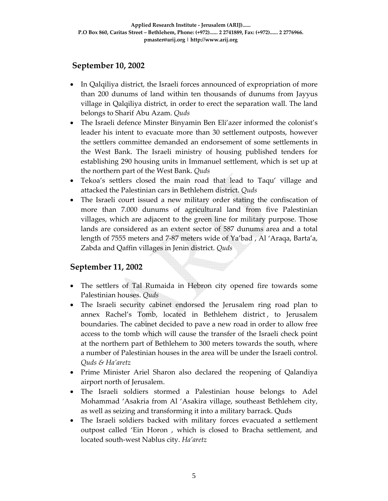# **September 10, 2002**

- In Qalqiliya district, the Israeli forces announced of expropriation of more than 200 dunums of land within ten thousands of dunums from Jayyus village in Qalqiliya district, in order to erect the separation wall. The land belongs to Sharif Abu Azam. *Quds*
- The Israeli defence Minster Binyamin Ben Eli'azer informed the colonist's leader his intent to evacuate more than 30 settlement outposts, however the settlers committee demanded an endorsement of some settlements in the West Bank. The Israeli ministry of housing published tenders for establishing 290 housing units in Immanuel settlement, which is set up at the northern part of the West Bank. *Quds*
- Tekoa's settlers closed the main road that lead to Taqu' village and attacked the Palestinian cars in Bethlehem district. *Quds*
- The Israeli court issued a new military order stating the confiscation of more than 7.000 dunums of agricultural land from five Palestinian villages, which are adjacent to the green line for military purpose. Those lands are considered as an extent sector of 587 dunums area and a total length of 7555 meters and 7‐87 meters wide of Ya'bad , Al 'Araqa, Barta'a, Zabda and Qaffin villages in Jenin district. *Quds*

### **September 11, 2002**

- The settlers of Tal Rumaida in Hebron city opened fire towards some Palestinian houses. *Quds*
- The Israeli security cabinet endorsed the Jerusalem ring road plan to annex Rachel's Tomb, located in Bethlehem district , to Jerusalem boundaries. The cabinet decided to pave a new road in order to allow free access to the tomb which will cause the transfer of the Israeli check point at the northern part of Bethlehem to 300 meters towards the south, where a number of Palestinian houses in the area will be under the Israeli control. *Quds & Ha'aretz*
- Prime Minister Ariel Sharon also declared the reopening of Qalandiya airport north of Jerusalem.
- The Israeli soldiers stormed a Palestinian house belongs to Adel Mohammad 'Asakria from Al 'Asakira village, southeast Bethlehem city, as well as seizing and transforming it into a military barrack. Quds
- The Israeli soldiers backed with military forces evacuated a settlement outpost called 'Ein Horon , which is closed to Bracha settlement, and located south‐west Nablus city. *Ha'aretz*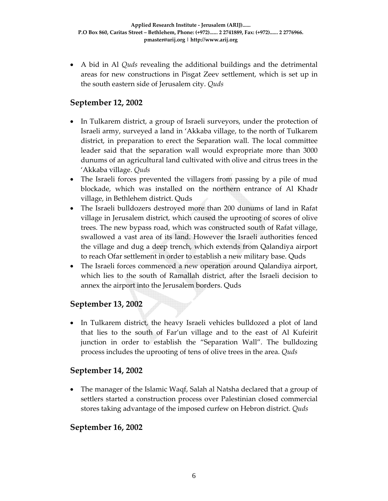• A bid in Al *Quds* revealing the additional buildings and the detrimental areas for new constructions in Pisgat Zeev settlement, which is set up in the south eastern side of Jerusalem city. *Quds* 

# **September 12, 2002**

- In Tulkarem district, a group of Israeli surveyors, under the protection of Israeli army, surveyed a land in 'Akkaba village, to the north of Tulkarem district, in preparation to erect the Separation wall. The local committee leader said that the separation wall would expropriate more than 3000 dunums of an agricultural land cultivated with olive and citrus trees in the 'Akkaba village. *Quds*
- The Israeli forces prevented the villagers from passing by a pile of mud blockade, which was installed on the northern entrance of Al Khadr village, in Bethlehem district. Quds
- The Israeli bulldozers destroyed more than 200 dunums of land in Rafat village in Jerusalem district, which caused the uprooting of scores of olive trees. The new bypass road, which was constructed south of Rafat village, swallowed a vast area of its land. However the Israeli authorities fenced the village and dug a deep trench, which extends from Qalandiya airport to reach Ofar settlement in order to establish a new military base. Quds
- The Israeli forces commenced a new operation around Qalandiya airport, which lies to the south of Ramallah district, after the Israeli decision to annex the airport into the Jerusalem borders. Quds

### **September 13, 2002**

• In Tulkarem district, the heavy Israeli vehicles bulldozed a plot of land that lies to the south of Far'un village and to the east of Al Kufeirit junction in order to establish the "Separation Wall". The bulldozing process includes the uprooting of tens of olive trees in the area. *Quds*

### **September 14, 2002**

• The manager of the Islamic Waqf, Salah al Natsha declared that a group of settlers started a construction process over Palestinian closed commercial stores taking advantage of the imposed curfew on Hebron district. *Quds*

### **September 16, 2002**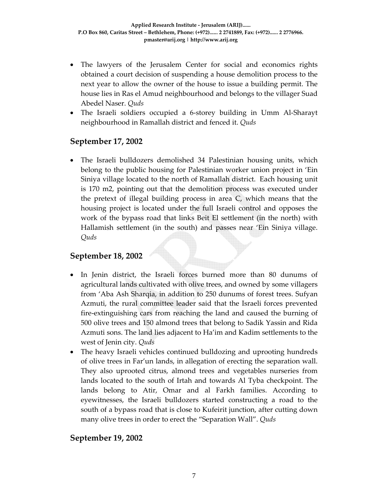- The lawyers of the Jerusalem Center for social and economics rights obtained a court decision of suspending a house demolition process to the next year to allow the owner of the house to issue a building permit. The house lies in Ras el Amud neighbourhood and belongs to the villager Suad Abedel Naser. *Quds*
- The Israeli soldiers occupied a 6-storey building in Umm Al-Sharayt neighbourhood in Ramallah district and fenced it. *Quds*

#### **September 17, 2002**

• The Israeli bulldozers demolished 34 Palestinian housing units, which belong to the public housing for Palestinian worker union project in 'Ein Siniya village located to the north of Ramallah district. Each housing unit is 170 m2, pointing out that the demolition process was executed under the pretext of illegal building process in area C, which means that the housing project is located under the full Israeli control and opposes the work of the bypass road that links Beit El settlement (in the north) with Hallamish settlement (in the south) and passes near 'Ein Siniya village. *Quds*

### **September 18, 2002**

- In Jenin district, the Israeli forces burned more than 80 dunums of agricultural lands cultivated with olive trees, and owned by some villagers from 'Aba Ash Sharqia, in addition to 250 dunums of forest trees. Sufyan Azmuti, the rural committee leader said that the Israeli forces prevented fire‐extinguishing cars from reaching the land and caused the burning of 500 olive trees and 150 almond trees that belong to Sadik Yassin and Rida Azmuti sons. The land lies adjacent to Ha'im and Kadim settlements to the west of Jenin city. *Quds*
- The heavy Israeli vehicles continued bulldozing and uprooting hundreds of olive trees in Far'un lands, in allegation of erecting the separation wall. They also uprooted citrus, almond trees and vegetables nurseries from lands located to the south of Irtah and towards Al Tyba checkpoint. The lands belong to Atir, Omar and al Farkh families. According to eyewitnesses, the Israeli bulldozers started constructing a road to the south of a bypass road that is close to Kufeirit junction, after cutting down many olive trees in order to erect the "Separation Wall". *Quds*

### **September 19, 2002**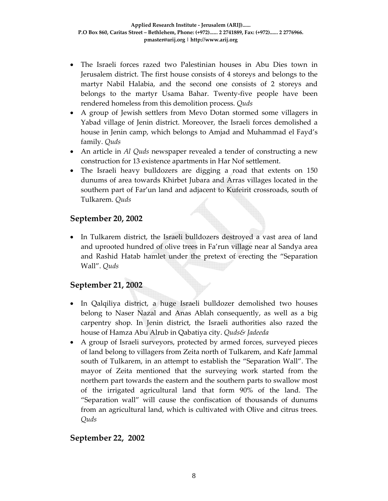- The Israeli forces razed two Palestinian houses in Abu Dies town in Jerusalem district. The first house consists of 4 storeys and belongs to the martyr Nabil Halabia, and the second one consists of 2 storeys and belongs to the martyr Usama Bahar. Twenty‐five people have been rendered homeless from this demolition process. *Quds*
- A group of Jewish settlers from Mevo Dotan stormed some villagers in Yabad village of Jenin district. Moreover, the Israeli forces demolished a house in Jenin camp, which belongs to Amjad and Muhammad el Fayd's family. *Quds*
- An article in *Al Quds* newspaper revealed a tender of constructing a new construction for 13 existence apartments in Har Nof settlement.
- The Israeli heavy bulldozers are digging a road that extents on 150 dunums of area towards Khirbet Jubara and Arras villages located in the southern part of Far'un land and adjacent to Kufeirit crossroads, south of Tulkarem. *Quds*

## **September 20, 2002**

• In Tulkarem district, the Israeli bulldozers destroyed a vast area of land and uprooted hundred of olive trees in Fa'run village near al Sandya area and Rashid Hatab hamlet under the pretext of erecting the "Separation Wall". *Quds*

# **September 21, 2002**

- In Qalqiliya district, a huge Israeli bulldozer demolished two houses belong to Naser Nazal and Anas Ablah consequently, as well as a big carpentry shop. In Jenin district, the Israeli authorities also razed the house of Hamza Abu Alrub in Qabatiya city. *Quds& Jadeeda*
- A group of Israeli surveyors, protected by armed forces, surveyed pieces of land belong to villagers from Zeita north of Tulkarem, and Kafr Jammal south of Tulkarem, in an attempt to establish the "Separation Wall". The mayor of Zeita mentioned that the surveying work started from the northern part towards the eastern and the southern parts to swallow most of the irrigated agricultural land that form 90% of the land. The "Separation wall" will cause the confiscation of thousands of dunums from an agricultural land, which is cultivated with Olive and citrus trees. *Quds*

### **September 22, 2002**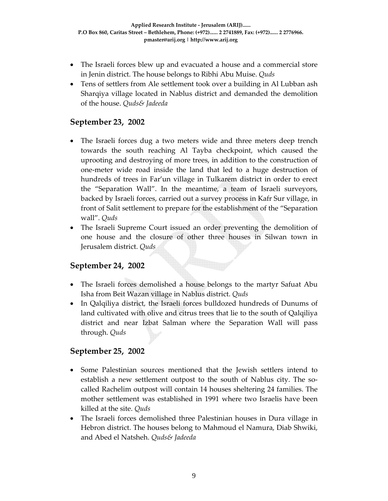- The Israeli forces blew up and evacuated a house and a commercial store in Jenin district. The house belongs to Ribhi Abu Muise. *Quds*
- Tens of settlers from Ale settlement took over a building in Al Lubban ash Sharqiya village located in Nablus district and demanded the demolition of the house. *Quds& Jadeeda*

### **September 23, 2002**

- The Israeli forces dug a two meters wide and three meters deep trench towards the south reaching Al Tayba checkpoint, which caused the uprooting and destroying of more trees, in addition to the construction of one‐meter wide road inside the land that led to a huge destruction of hundreds of trees in Far'un village in Tulkarem district in order to erect the "Separation Wall". In the meantime, a team of Israeli surveyors, backed by Israeli forces, carried out a survey process in Kafr Sur village, in front of Salit settlement to prepare for the establishment of the "Separation wall". *Quds*
- The Israeli Supreme Court issued an order preventing the demolition of one house and the closure of other three houses in Silwan town in Jerusalem district. *Quds*

### **September 24, 2002**

- The Israeli forces demolished a house belongs to the martyr Safuat Abu Isha from Beit Wazan village in Nablus district. *Quds*
- In Qalqiliya district, the Israeli forces bulldozed hundreds of Dunums of land cultivated with olive and citrus trees that lie to the south of Qalqiliya district and near Izbat Salman where the Separation Wall will pass through. *Quds*

### **September 25, 2002**

- Some Palestinian sources mentioned that the Jewish settlers intend to establish a new settlement outpost to the south of Nablus city. The socalled Rachelim outpost will contain 14 houses sheltering 24 families. The mother settlement was established in 1991 where two Israelis have been killed at the site. *Quds*
- The Israeli forces demolished three Palestinian houses in Dura village in Hebron district. The houses belong to Mahmoud el Namura, Diab Shwiki, and Abed el Natsheh. *Quds& Jadeeda*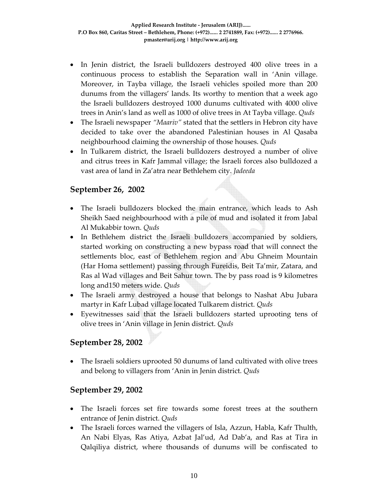- In Jenin district, the Israeli bulldozers destroyed 400 olive trees in a continuous process to establish the Separation wall in 'Anin village. Moreover, in Tayba village, the Israeli vehicles spoiled more than 200 dunums from the villagers' lands. Its worthy to mention that a week ago the Israeli bulldozers destroyed 1000 dunums cultivated with 4000 olive trees in Anin's land as well as 1000 of olive trees in At Tayba village. *Quds*
- The Israeli newspaper *"Maariv"* stated that the settlers in Hebron city have decided to take over the abandoned Palestinian houses in Al Qasaba neighbourhood claiming the ownership of those houses. *Quds*
- In Tulkarem district, the Israeli bulldozers destroyed a number of olive and citrus trees in Kafr Jammal village; the Israeli forces also bulldozed a vast area of land in Za'atra near Bethlehem city. *Jadeeda*

### **September 26, 2002**

- The Israeli bulldozers blocked the main entrance, which leads to Ash Sheikh Saed neighbourhood with a pile of mud and isolated it from Jabal Al Mukabbir town. *Quds*
- In Bethlehem district the Israeli bulldozers accompanied by soldiers, started working on constructing a new bypass road that will connect the settlements bloc, east of Bethlehem region and Abu Ghneim Mountain (Har Homa settlement) passing through Fureidis, Beit Ta'mir, Zatara, and Ras al Wad villages and Beit Sahur town. The by pass road is 9 kilometres long and150 meters wide. *Quds*
- The Israeli army destroyed a house that belongs to Nashat Abu Jubara martyr in Kafr Lubad village located Tulkarem district. *Quds*
- Eyewitnesses said that the Israeli bulldozers started uprooting tens of olive trees in 'Anin village in Jenin district. *Quds*

### **September 28, 2002**

• The Israeli soldiers uprooted 50 dunums of land cultivated with olive trees and belong to villagers from 'Anin in Jenin district. *Quds*

#### **September 29, 2002**

- The Israeli forces set fire towards some forest trees at the southern entrance of Jenin district. *Quds*
- The Israeli forces warned the villagers of Isla, Azzun, Habla, Kafr Thulth, An Nabi Elyas, Ras Atiya, Azbat Jal'ud, Ad Dab'a, and Ras at Tira in Qalqiliya district, where thousands of dunums will be confiscated to